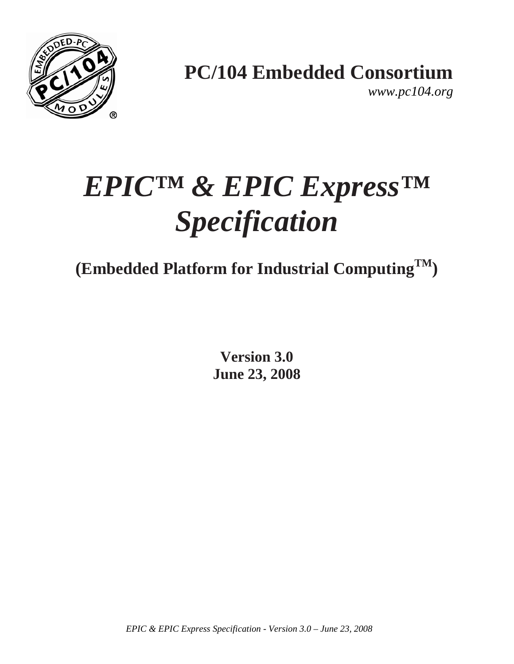

**PC/104 Embedded Consortium** 

*www.pc104.org* 

# *EPIC™ & EPIC Express™ Specification*

**(Embedded Platform for Industrial ComputingTM)** 

**Version 3.0 June 23, 2008**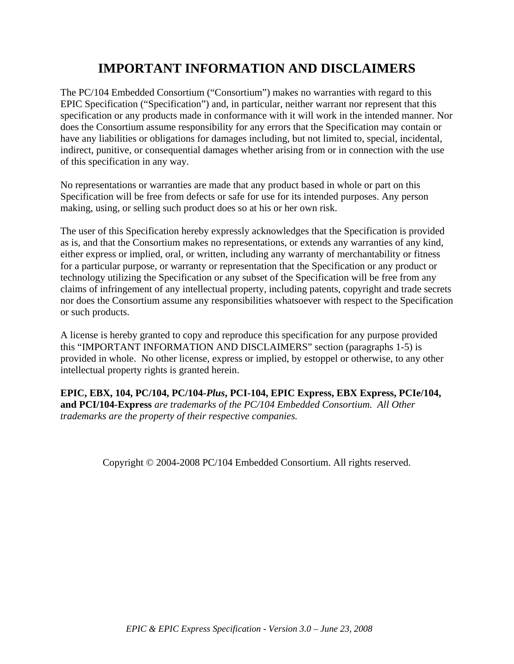# **IMPORTANT INFORMATION AND DISCLAIMERS**

The PC/104 Embedded Consortium ("Consortium") makes no warranties with regard to this EPIC Specification ("Specification") and, in particular, neither warrant nor represent that this specification or any products made in conformance with it will work in the intended manner. Nor does the Consortium assume responsibility for any errors that the Specification may contain or have any liabilities or obligations for damages including, but not limited to, special, incidental, indirect, punitive, or consequential damages whether arising from or in connection with the use of this specification in any way.

No representations or warranties are made that any product based in whole or part on this Specification will be free from defects or safe for use for its intended purposes. Any person making, using, or selling such product does so at his or her own risk.

The user of this Specification hereby expressly acknowledges that the Specification is provided as is, and that the Consortium makes no representations, or extends any warranties of any kind, either express or implied, oral, or written, including any warranty of merchantability or fitness for a particular purpose, or warranty or representation that the Specification or any product or technology utilizing the Specification or any subset of the Specification will be free from any claims of infringement of any intellectual property, including patents, copyright and trade secrets nor does the Consortium assume any responsibilities whatsoever with respect to the Specification or such products.

A license is hereby granted to copy and reproduce this specification for any purpose provided this "IMPORTANT INFORMATION AND DISCLAIMERS" section (paragraphs 1-5) is provided in whole. No other license, express or implied, by estoppel or otherwise, to any other intellectual property rights is granted herein.

**EPIC, EBX, 104, PC/104, PC/104***-Plus***, PCI-104, EPIC Express, EBX Express, PCIe/104, and PCI/104-Express** *are trademarks of the PC/104 Embedded Consortium. All Other trademarks are the property of their respective companies.* 

Copyright © 2004-2008 PC/104 Embedded Consortium. All rights reserved.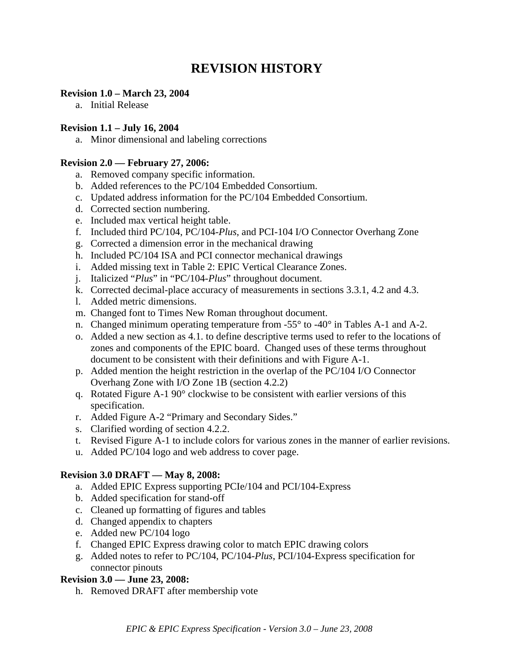# **REVISION HISTORY**

#### **Revision 1.0 – March 23, 2004**

a. Initial Release

#### **Revision 1.1 – July 16, 2004**

a. Minor dimensional and labeling corrections

#### **Revision 2.0 — February 27, 2006:**

- a. Removed company specific information.
- b. Added references to the PC/104 Embedded Consortium.
- c. Updated address information for the PC/104 Embedded Consortium.
- d. Corrected section numbering.
- e. Included max vertical height table.
- f. Included third PC/104, PC/104-*Plus*, and PCI-104 I/O Connector Overhang Zone
- g. Corrected a dimension error in the mechanical drawing
- h. Included PC/104 ISA and PCI connector mechanical drawings
- i. Added missing text in Table 2: EPIC Vertical Clearance Zones.
- j. Italicized "*Plus*" in "PC/104-*Plus*" throughout document.
- k. Corrected decimal-place accuracy of measurements in sections 3.3.1, 4.2 and 4.3.
- l. Added metric dimensions.
- m. Changed font to Times New Roman throughout document.
- n. Changed minimum operating temperature from  $-55^{\circ}$  to  $-40^{\circ}$  in Tables A-1 and A-2.
- o. Added a new section as 4.1. to define descriptive terms used to refer to the locations of zones and components of the EPIC board. Changed uses of these terms throughout document to be consistent with their definitions and with Figure A-1.
- p. Added mention the height restriction in the overlap of the PC/104 I/O Connector Overhang Zone with I/O Zone 1B (section 4.2.2)
- q. Rotated Figure A-1 90° clockwise to be consistent with earlier versions of this specification.
- r. Added Figure A-2 "Primary and Secondary Sides."
- s. Clarified wording of section 4.2.2.
- t. Revised Figure A-1 to include colors for various zones in the manner of earlier revisions.
- u. Added PC/104 logo and web address to cover page.

#### **Revision 3.0 DRAFT — May 8, 2008:**

- a. Added EPIC Express supporting PCIe/104 and PCI/104-Express
- b. Added specification for stand-off
- c. Cleaned up formatting of figures and tables
- d. Changed appendix to chapters
- e. Added new PC/104 logo
- f. Changed EPIC Express drawing color to match EPIC drawing colors
- g. Added notes to refer to PC/104, PC/104-*Plus*, PCI/104-Express specification for connector pinouts

#### **Revision 3.0 — June 23, 2008:**

h. Removed DRAFT after membership vote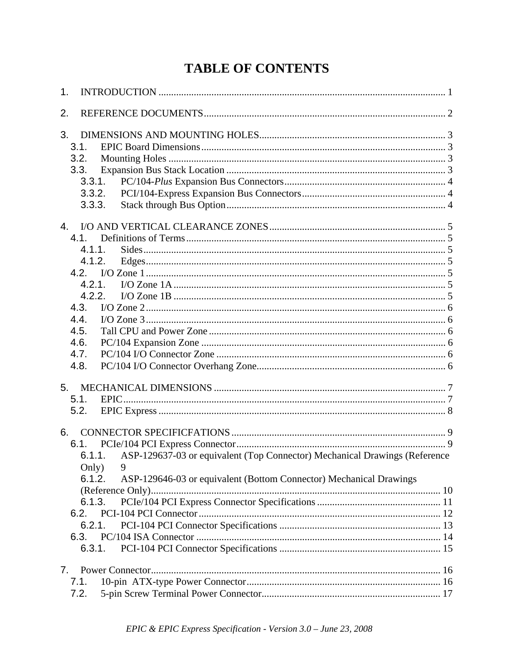# **TABLE OF CONTENTS**

| 1. |                                                                                                                                                                                                                                  |  |
|----|----------------------------------------------------------------------------------------------------------------------------------------------------------------------------------------------------------------------------------|--|
| 2. |                                                                                                                                                                                                                                  |  |
| 3. | 3.1.<br>3.2.<br>3.3.<br>3.3.1.<br>3.3.2.<br>3.3.3.                                                                                                                                                                               |  |
| 4. | 4.1.<br>4.1.1.<br>4.1.2.<br>4.2.1.<br>4.2.2.<br>4.3.<br>4.4.<br>4.5.<br>4.6.<br>4.7.<br>4.8.                                                                                                                                     |  |
| 5. | 5.1.<br>5.2.                                                                                                                                                                                                                     |  |
| 6. | 6.1.<br>6.1.1. ASP-129637-03 or equivalent (Top Connector) Mechanical Drawings (Reference<br>Only)<br>9<br>6.1.2.<br>ASP-129646-03 or equivalent (Bottom Connector) Mechanical Drawings<br>6.1.3.<br>$6.2 -$<br>6.2.1.<br>6.3.1. |  |
| 7. | 7.1.<br>7.2.                                                                                                                                                                                                                     |  |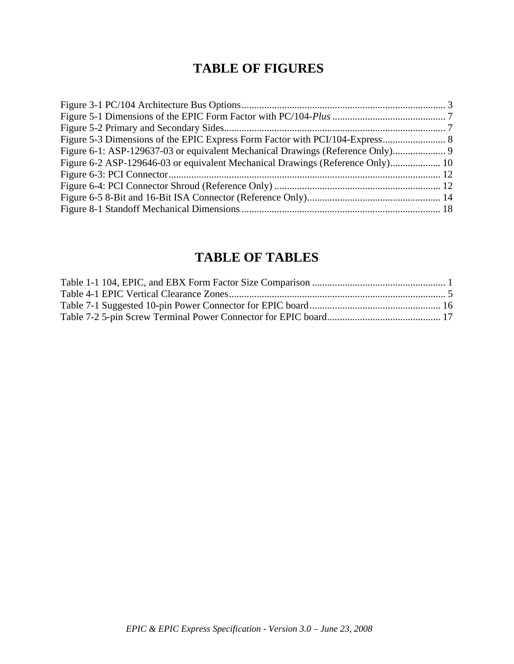# **TABLE OF FIGURES**

| Figure 6-1: ASP-129637-03 or equivalent Mechanical Drawings (Reference Only)   |  |
|--------------------------------------------------------------------------------|--|
| Figure 6-2 ASP-129646-03 or equivalent Mechanical Drawings (Reference Only) 10 |  |
|                                                                                |  |
|                                                                                |  |
|                                                                                |  |
|                                                                                |  |

# **TABLE OF TABLES**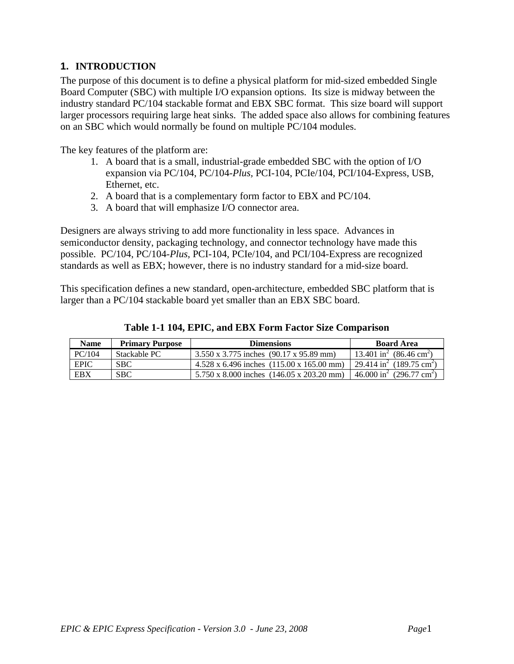# **1. INTRODUCTION**

The purpose of this document is to define a physical platform for mid-sized embedded Single Board Computer (SBC) with multiple I/O expansion options. Its size is midway between the industry standard PC/104 stackable format and EBX SBC format. This size board will support larger processors requiring large heat sinks. The added space also allows for combining features on an SBC which would normally be found on multiple PC/104 modules.

The key features of the platform are:

- 1. A board that is a small, industrial-grade embedded SBC with the option of I/O expansion via PC/104, PC/104-*Plus,* PCI-104, PCIe/104, PCI/104-Express, USB, Ethernet, etc.
- 2. A board that is a complementary form factor to EBX and PC/104.
- 3. A board that will emphasize I/O connector area.

Designers are always striving to add more functionality in less space. Advances in semiconductor density, packaging technology, and connector technology have made this possible. PC/104, PC/104-*Plus*, PCI-104, PCIe/104, and PCI/104-Express are recognized standards as well as EBX; however, there is no industry standard for a mid-size board.

This specification defines a new standard, open-architecture, embedded SBC platform that is larger than a PC/104 stackable board yet smaller than an EBX SBC board.

| <b>Name</b> | <b>Primary Purpose</b> | <b>Dimensions</b>                                       | <b>Board Area</b>                                |
|-------------|------------------------|---------------------------------------------------------|--------------------------------------------------|
| PC/104      | Stackable PC           | $3.550 \times 3.775$ inches (90.17 x 95.89 mm)          | $13.401 \text{ in}^2 (86.46 \text{ cm}^2)$       |
| <b>EPIC</b> | <b>SBC</b>             | $4.528 \times 6.496$ inches $(115.00 \times 165.00$ mm) | 29.414 in <sup>2</sup> (189.75 cm <sup>2</sup> ) |
| EBX         | <b>SBC</b>             | $5.750 \times 8.000$ inches $(146.05 \times 203.20$ mm) | $46.000 \text{ in}^2$ (296.77 cm <sup>2</sup> )  |

**Table 1-1 104, EPIC, and EBX Form Factor Size Comparison**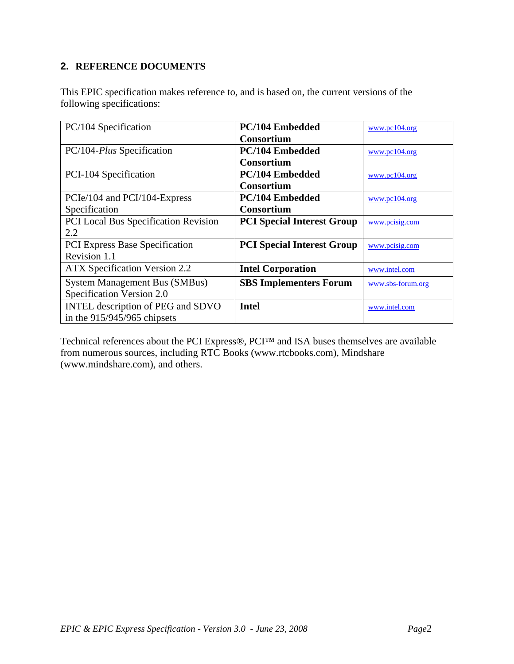## **2. REFERENCE DOCUMENTS**

This EPIC specification makes reference to, and is based on, the current versions of the following specifications:

| PC/104 Specification                  | PC/104 Embedded                   | www.pc104.org     |
|---------------------------------------|-----------------------------------|-------------------|
|                                       | <b>Consortium</b>                 |                   |
|                                       |                                   |                   |
| PC/104-Plus Specification             | <b>PC/104 Embedded</b>            | www.pcl04.org     |
|                                       | <b>Consortium</b>                 |                   |
| PCI-104 Specification                 | PC/104 Embedded                   | www.pcl04.org     |
|                                       | <b>Consortium</b>                 |                   |
| PCIe/104 and PCI/104-Express          | PC/104 Embedded                   | www.pc104.org     |
| Specification                         | <b>Consortium</b>                 |                   |
| PCI Local Bus Specification Revision  | <b>PCI Special Interest Group</b> | www.pcisig.com    |
| 2.2                                   |                                   |                   |
| <b>PCI Express Base Specification</b> | <b>PCI Special Interest Group</b> | www.pcisig.com    |
| Revision 1.1                          |                                   |                   |
| <b>ATX Specification Version 2.2</b>  | <b>Intel Corporation</b>          | www.intel.com     |
| <b>System Management Bus (SMBus)</b>  | <b>SBS Implementers Forum</b>     | www.sbs-forum.org |
| Specification Version 2.0             |                                   |                   |
| INTEL description of PEG and SDVO     | <b>Intel</b>                      | www.intel.com     |
| in the $915/945/965$ chipsets         |                                   |                   |

Technical references about the PCI Express®, PCI™ and ISA buses themselves are available from numerous sources, including RTC Books (www.rtcbooks.com), Mindshare (www.mindshare.com), and others.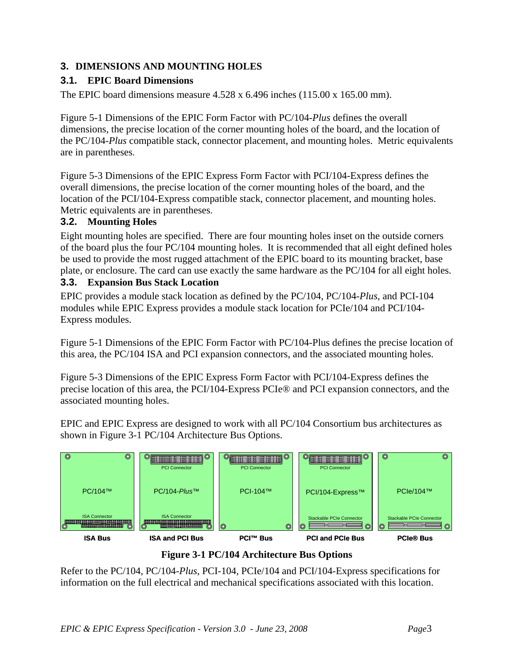# **3. DIMENSIONS AND MOUNTING HOLES**

## **3.1. EPIC Board Dimensions**

The EPIC board dimensions measure  $4.528 \times 6.496$  inches  $(115.00 \times 165.00 \text{ mm})$ .

Figure 5-1 Dimensions of the EPIC Form Factor with PC/104-*Plus* defines the overall dimensions, the precise location of the corner mounting holes of the board, and the location of the PC/104-*Plus* compatible stack, connector placement, and mounting holes. Metric equivalents are in parentheses.

Figure 5-3 Dimensions of the EPIC Express Form Factor with PCI/104-Express defines the overall dimensions, the precise location of the corner mounting holes of the board, and the location of the PCI/104-Express compatible stack, connector placement, and mounting holes. Metric equivalents are in parentheses.

#### **3.2. Mounting Holes**

Eight mounting holes are specified. There are four mounting holes inset on the outside corners of the board plus the four PC/104 mounting holes. It is recommended that all eight defined holes be used to provide the most rugged attachment of the EPIC board to its mounting bracket, base plate, or enclosure. The card can use exactly the same hardware as the PC/104 for all eight holes.

#### **3.3. Expansion Bus Stack Location**

EPIC provides a module stack location as defined by the PC/104, PC/104-*Plus*, and PCI-104 modules while EPIC Express provides a module stack location for PCIe/104 and PCI/104- Express modules.

Figure 5-1 Dimensions of the EPIC Form Factor with PC/104-Plus defines the precise location of this area, the PC/104 ISA and PCI expansion connectors, and the associated mounting holes.

Figure 5-3 Dimensions of the EPIC Express Form Factor with PCI/104-Express defines the precise location of this area, the PCI/104-Express PCIe® and PCI expansion connectors, and the associated mounting holes.

EPIC and EPIC Express are designed to work with all PC/104 Consortium bus architectures as shown in Figure 3-1 PC/104 Architecture Bus Options.



**Figure 3-1 PC/104 Architecture Bus Options** 

Refer to the PC/104, PC/104-*Plus*, PCI-104, PCIe/104 and PCI/104-Express specifications for information on the full electrical and mechanical specifications associated with this location.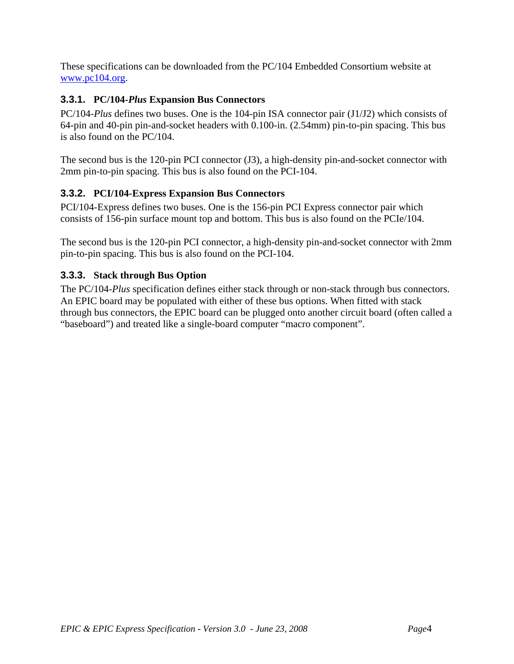These specifications can be downloaded from the PC/104 Embedded Consortium website at www.pc104.org.

# **3.3.1. PC/104-***Plus* **Expansion Bus Connectors**

PC/104-*Plus* defines two buses. One is the 104-pin ISA connector pair (J1/J2) which consists of 64-pin and 40-pin pin-and-socket headers with 0.100-in. (2.54mm) pin-to-pin spacing. This bus is also found on the PC/104.

The second bus is the 120-pin PCI connector (J3), a high-density pin-and-socket connector with 2mm pin-to-pin spacing. This bus is also found on the PCI-104.

#### **3.3.2. PCI/104-Express Expansion Bus Connectors**

PCI/104-Express defines two buses. One is the 156-pin PCI Express connector pair which consists of 156-pin surface mount top and bottom. This bus is also found on the PCIe/104.

The second bus is the 120-pin PCI connector, a high-density pin-and-socket connector with 2mm pin-to-pin spacing. This bus is also found on the PCI-104.

#### **3.3.3. Stack through Bus Option**

The PC/104-*Plus* specification defines either stack through or non-stack through bus connectors. An EPIC board may be populated with either of these bus options. When fitted with stack through bus connectors, the EPIC board can be plugged onto another circuit board (often called a "baseboard") and treated like a single-board computer "macro component".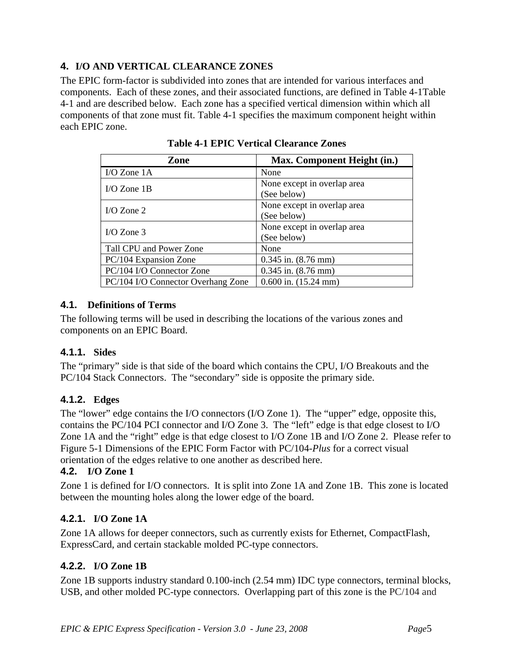# **4. I/O AND VERTICAL CLEARANCE ZONES**

The EPIC form-factor is subdivided into zones that are intended for various interfaces and components. Each of these zones, and their associated functions, are defined in Table 4-1Table 4-1 and are described below. Each zone has a specified vertical dimension within which all components of that zone must fit. Table 4-1 specifies the maximum component height within each EPIC zone.

| Zone                               | Max. Component Height (in.) |
|------------------------------------|-----------------------------|
| I/O Zone $1A$                      | None                        |
| $I/O$ Zone 1B                      | None except in overlap area |
|                                    | (See below)                 |
| I/O Zone $2$                       | None except in overlap area |
|                                    | (See below)                 |
| I/O Zone $3$                       | None except in overlap area |
|                                    | (See below)                 |
| Tall CPU and Power Zone            | None                        |
| PC/104 Expansion Zone              | $0.345$ in. $(8.76$ mm)     |
| PC/104 I/O Connector Zone          | $0.345$ in. $(8.76$ mm)     |
| PC/104 I/O Connector Overhang Zone | $0.600$ in. $(15.24$ mm)    |

**Table 4-1 EPIC Vertical Clearance Zones** 

## **4.1. Definitions of Terms**

The following terms will be used in describing the locations of the various zones and components on an EPIC Board.

# **4.1.1. Sides**

The "primary" side is that side of the board which contains the CPU, I/O Breakouts and the PC/104 Stack Connectors. The "secondary" side is opposite the primary side.

# **4.1.2. Edges**

The "lower" edge contains the I/O connectors (I/O Zone 1). The "upper" edge, opposite this, contains the PC/104 PCI connector and I/O Zone 3. The "left" edge is that edge closest to I/O Zone 1A and the "right" edge is that edge closest to I/O Zone 1B and I/O Zone 2. Please refer to Figure 5-1 Dimensions of the EPIC Form Factor with PC/104-*Plus* for a correct visual orientation of the edges relative to one another as described here.

#### **4.2. I/O Zone 1**

Zone 1 is defined for I/O connectors. It is split into Zone 1A and Zone 1B. This zone is located between the mounting holes along the lower edge of the board.

#### **4.2.1. I/O Zone 1A**

Zone 1A allows for deeper connectors, such as currently exists for Ethernet, CompactFlash, ExpressCard, and certain stackable molded PC-type connectors.

#### **4.2.2. I/O Zone 1B**

Zone 1B supports industry standard 0.100-inch (2.54 mm) IDC type connectors, terminal blocks, USB, and other molded PC-type connectors. Overlapping part of this zone is the PC/104 and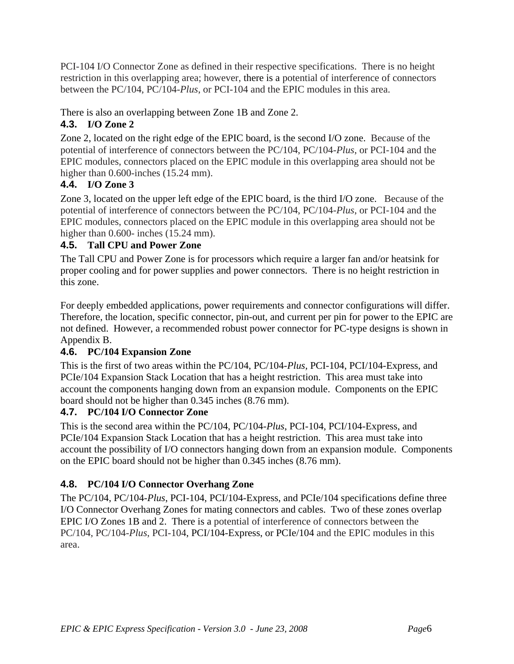PCI-104 I/O Connector Zone as defined in their respective specifications. There is no height restriction in this overlapping area; however, there is a potential of interference of connectors between the PC/104, PC/104-*Plus*, or PCI-104 and the EPIC modules in this area.

# There is also an overlapping between Zone 1B and Zone 2.

# **4.3. I/O Zone 2**

Zone 2, located on the right edge of the EPIC board, is the second I/O zone. Because of the potential of interference of connectors between the PC/104, PC/104-*Plus*, or PCI-104 and the EPIC modules, connectors placed on the EPIC module in this overlapping area should not be higher than 0.600-inches (15.24 mm).

# **4.4. I/O Zone 3**

Zone 3, located on the upper left edge of the EPIC board, is the third I/O zone. Because of the potential of interference of connectors between the PC/104, PC/104-*Plus*, or PCI-104 and the EPIC modules, connectors placed on the EPIC module in this overlapping area should not be higher than 0.600- inches (15.24 mm).

# **4.5. Tall CPU and Power Zone**

The Tall CPU and Power Zone is for processors which require a larger fan and/or heatsink for proper cooling and for power supplies and power connectors. There is no height restriction in this zone.

For deeply embedded applications, power requirements and connector configurations will differ. Therefore, the location, specific connector, pin-out, and current per pin for power to the EPIC are not defined. However, a recommended robust power connector for PC-type designs is shown in Appendix B.

# **4.6. PC/104 Expansion Zone**

This is the first of two areas within the PC/104, PC/104-*Plus,* PCI-104, PCI/104-Express, and PCIe/104 Expansion Stack Location that has a height restriction. This area must take into account the components hanging down from an expansion module. Components on the EPIC board should not be higher than 0.345 inches (8.76 mm).

# **4.7. PC/104 I/O Connector Zone**

This is the second area within the PC/104, PC/104-*Plus*, PCI-104, PCI/104-Express, and PCIe/104 Expansion Stack Location that has a height restriction. This area must take into account the possibility of I/O connectors hanging down from an expansion module. Components on the EPIC board should not be higher than 0.345 inches (8.76 mm).

# **4.8. PC/104 I/O Connector Overhang Zone**

The PC/104, PC/104-*Plus*, PCI-104, PCI/104-Express, and PCIe/104 specifications define three I/O Connector Overhang Zones for mating connectors and cables. Two of these zones overlap EPIC I/O Zones 1B and 2. There is a potential of interference of connectors between the PC/104, PC/104-*Plus*, PCI-104, PCI/104-Express, or PCIe/104 and the EPIC modules in this area.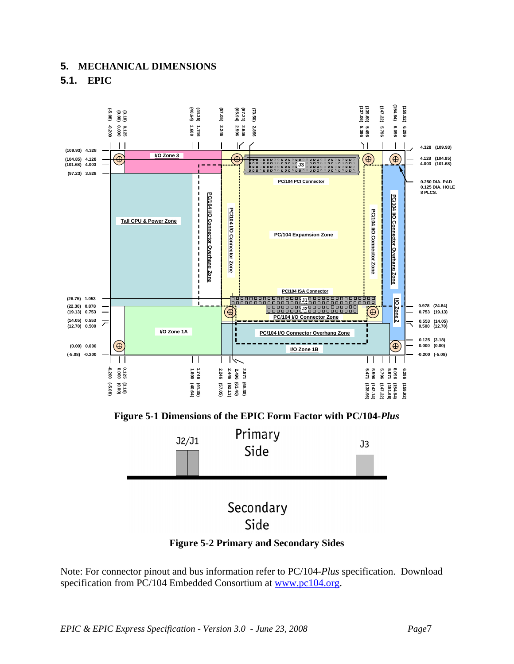## **5. MECHANICAL DIMENSIONS 5.1. EPIC**



**Figure 5-2 Primary and Secondary Sides** 

Note: For connector pinout and bus information refer to PC/104-*Plus* specification. Download specification from PC/104 Embedded Consortium at www.pc104.org.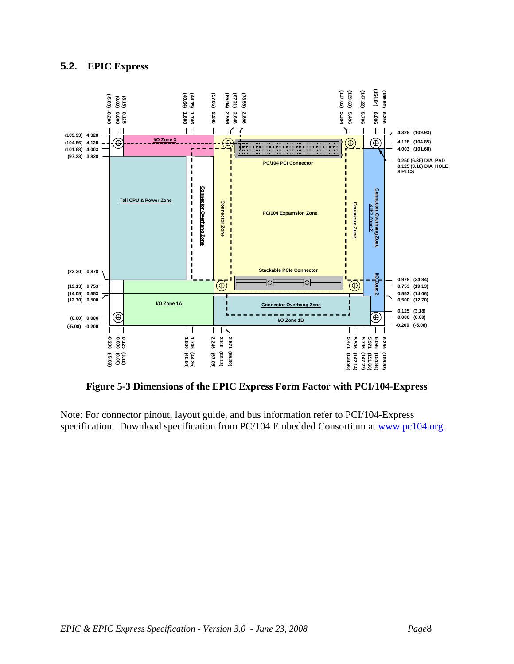#### **5.2. EPIC Express**



**Figure 5-3 Dimensions of the EPIC Express Form Factor with PCI/104-Express** 

Note: For connector pinout, layout guide, and bus information refer to PCI/104-Express specification. Download specification from PC/104 Embedded Consortium at www.pc104.org.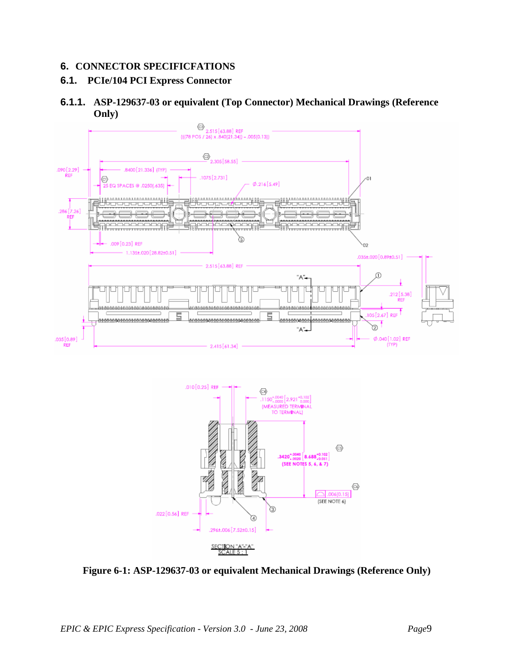#### **6. CONNECTOR SPECIFICFATIONS**

# **6.1. PCIe/104 PCI Express Connector**

#### **6.1.1. ASP-129637-03 or equivalent (Top Connector) Mechanical Drawings (Reference Only)**





**Figure 6-1: ASP-129637-03 or equivalent Mechanical Drawings (Reference Only)**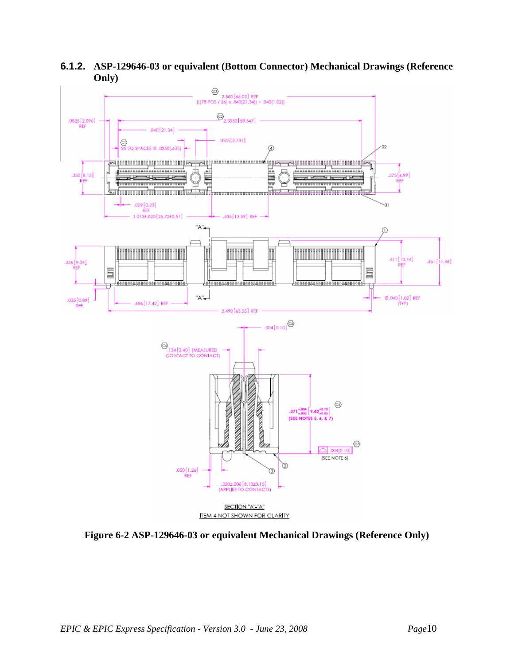



**Figure 6-2 ASP-129646-03 or equivalent Mechanical Drawings (Reference Only)**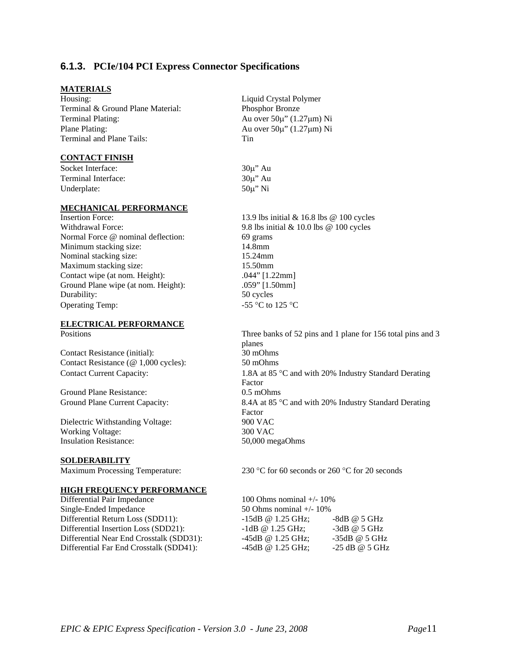#### **6.1.3. PCIe/104 PCI Express Connector Specifications**

#### **MATERIALS**

Housing: Liquid Crystal Polymer Terminal & Ground Plane Material: Phosphor Bronze Terminal Plating: Au over 50µ" (1.27µm) Ni Plane Plating: Au over  $50\mu$ " (1.27 $\mu$ m) Ni Terminal and Plane Tails: Tin

#### **CONTACT FINISH**

Socket Interface: 30u" Au Terminal Interface: 30µ" Au Underplate:  $50\mu$ " Ni

#### **MECHANICAL PERFORMANCE**

Normal Force @ nominal deflection: 69 grams Minimum stacking size: 14.8mm Nominal stacking size: 15.24mm Maximum stacking size: 15.50mm Contact wipe (at nom. Height): .044" [1.22mm] Ground Plane wipe (at nom. Height): .059" [1.50mm] Durability: 50 cycles Operating Temp:  $-55 \degree C$  to 125  $\degree C$ 

# **ELECTRICAL PERFORMANCE**

Contact Resistance (initial): 30 mOhms Contact Resistance (@ 1,000 cycles): 50 mOhms

Ground Plane Resistance: 0.5 mOhms

Dielectric Withstanding Voltage: 900 VAC Working Voltage: 300 VAC Insulation Resistance: 50,000 megaOhms

#### **SOLDERABILITY**

#### **HIGH FREQUENCY PERFORMANCE**

Differential Pair Impedance 100 Ohms nominal +/- 10% Single-Ended Impedance 50 Ohms nominal +/- 10%

Insertion Force: 13.9 lbs initial & 16.8 lbs @ 100 cycles Withdrawal Force: 9.8 lbs initial & 10.0 lbs @ 100 cycles

Positions Three banks of 52 pins and 1 plane for 156 total pins and 3 planes Contact Current Capacity: 1.8A at 85 °C and with 20% Industry Standard Derating Factor Ground Plane Current Capacity: 8.4A at 85 °C and with 20% Industry Standard Derating Factor

Maximum Processing Temperature: 230 °C for 60 seconds or 260 °C for 20 seconds

Differential Return Loss (SDD11): -15dB @ 1.25 GHz; -8dB @ 5 GHz Differential Insertion Loss (SDD21): -1dB @ 1.25 GHz; -3dB @ 5 GHz Differential Near End Crosstalk (SDD31): -45dB @ 1.25 GHz; -35dB @ 5 GHz Differential Far End Crosstalk (SDD41): -45dB @ 1.25 GHz; -25 dB @ 5 GHz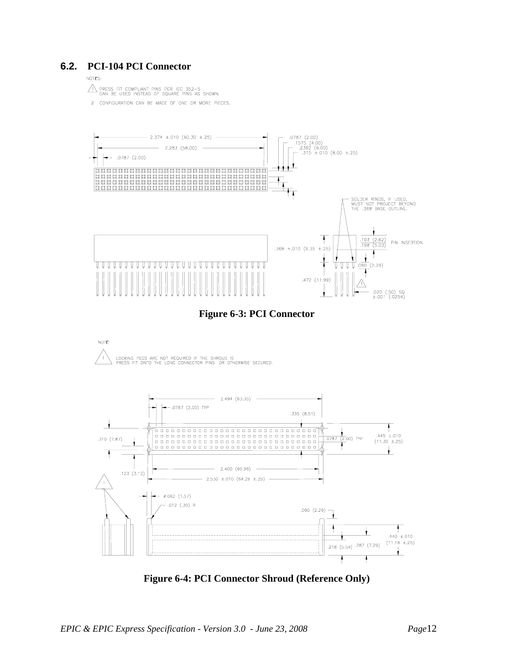#### **6.2. PCI-104 PCI Connector**

#### NOTES:

A PRESS FIT COMPLIANT PINS PER IEC 352-5<br>CAN BE USED INSTEAD OF SQUARE PINS AS SHOWN.

2 CONFIGURATION CAN BE MADE OF ONE OR MORE PIECES.



**Figure 6-3: PCI Connector** 



**Figure 6-4: PCI Connector Shroud (Reference Only)**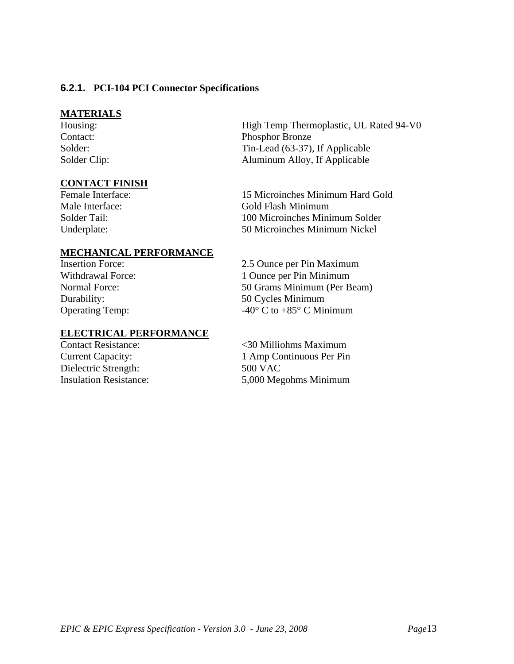#### **6.2.1. PCI-104 PCI Connector Specifications**

#### **MATERIALS**

#### **CONTACT FINISH**

High Temp Thermoplastic, UL Rated 94-V0 Contact: Phosphor Bronze Solder: Tin-Lead (63-37), If Applicable Solder Clip: Aluminum Alloy, If Applicable

Female Interface: 15 Microinches Minimum Hard Gold Male Interface: Gold Flash Minimum Solder Tail: 100 Microinches Minimum Solder Underplate: 50 Microinches Minimum Nickel

#### **MECHANICAL PERFORMANCE**

## **ELECTRICAL PERFORMANCE**

Dielectric Strength: 500 VAC

Insertion Force: 2.5 Ounce per Pin Maximum Withdrawal Force: 1 Ounce per Pin Minimum Normal Force: 50 Grams Minimum (Per Beam) Durability: 50 Cycles Minimum Operating Temp:  $-40^{\circ}$  C to  $+85^{\circ}$  C Minimum

Contact Resistance: <30 Milliohms Maximum Current Capacity: 1 Amp Continuous Per Pin Insulation Resistance: 5,000 Megohms Minimum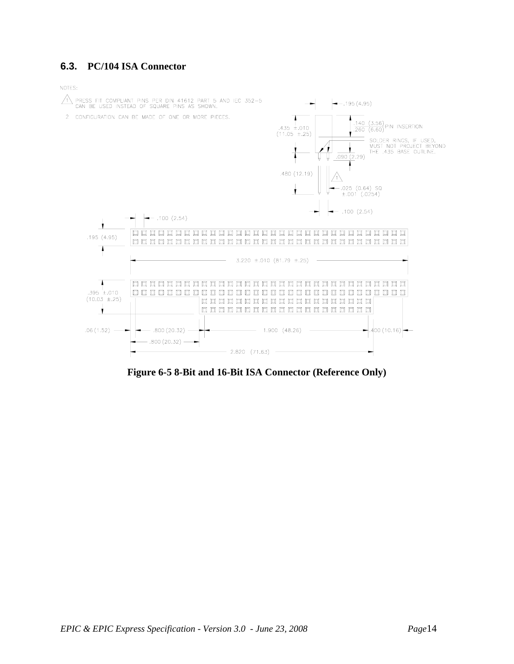#### **6.3. PC/104 ISA Connector**

NOTES:



**Figure 6-5 8-Bit and 16-Bit ISA Connector (Reference Only)**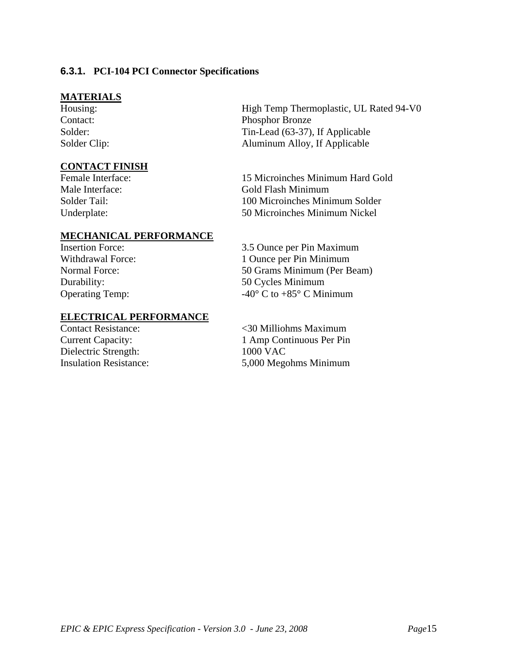#### **6.3.1. PCI-104 PCI Connector Specifications**

#### **MATERIALS**

# **CONTACT FINISH**<br>Female Interface:

#### **MECHANICAL PERFORMANCE**

#### **ELECTRICAL PERFORMANCE**

Dielectric Strength: 1000 VAC

High Temp Thermoplastic, UL Rated 94-V0 Contact: Phosphor Bronze Solder: Tin-Lead (63-37), If Applicable Solder Clip: Aluminum Alloy, If Applicable

15 Microinches Minimum Hard Gold Male Interface: Gold Flash Minimum Solder Tail: 100 Microinches Minimum Solder Underplate: 50 Microinches Minimum Nickel

Insertion Force: 3.5 Ounce per Pin Maximum Withdrawal Force: 1 Ounce per Pin Minimum Normal Force: 50 Grams Minimum (Per Beam) Durability: 50 Cycles Minimum Operating Temp:  $-40^{\circ}$  C to  $+85^{\circ}$  C Minimum

Contact Resistance: <30 Milliohms Maximum Current Capacity: 1 Amp Continuous Per Pin Insulation Resistance: 5,000 Megohms Minimum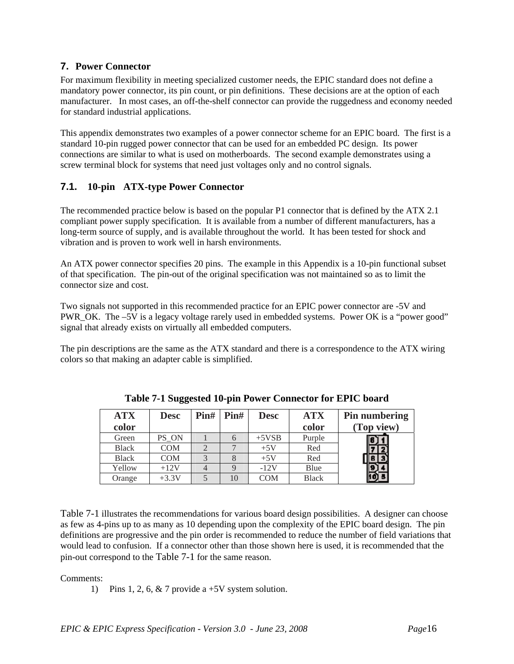#### **7. Power Connector**

For maximum flexibility in meeting specialized customer needs, the EPIC standard does not define a mandatory power connector, its pin count, or pin definitions. These decisions are at the option of each manufacturer. In most cases, an off-the-shelf connector can provide the ruggedness and economy needed for standard industrial applications.

This appendix demonstrates two examples of a power connector scheme for an EPIC board. The first is a standard 10-pin rugged power connector that can be used for an embedded PC design. Its power connections are similar to what is used on motherboards. The second example demonstrates using a screw terminal block for systems that need just voltages only and no control signals.

## **7.1. 10-pin ATX-type Power Connector**

The recommended practice below is based on the popular P1 connector that is defined by the ATX 2.1 compliant power supply specification. It is available from a number of different manufacturers, has a long-term source of supply, and is available throughout the world. It has been tested for shock and vibration and is proven to work well in harsh environments.

An ATX power connector specifies 20 pins. The example in this Appendix is a 10-pin functional subset of that specification. The pin-out of the original specification was not maintained so as to limit the connector size and cost.

Two signals not supported in this recommended practice for an EPIC power connector are -5V and PWR\_OK. The –5V is a legacy voltage rarely used in embedded systems. Power OK is a "power good" signal that already exists on virtually all embedded computers.

The pin descriptions are the same as the ATX standard and there is a correspondence to the ATX wiring colors so that making an adapter cable is simplified.

| <b>ATX</b>   | <b>Desc</b> | Pin# | $\text{Pin}\#$ | <b>Desc</b> | <b>ATX</b>   | Pin numbering |
|--------------|-------------|------|----------------|-------------|--------------|---------------|
| color        |             |      |                |             | color        | (Top view)    |
| Green        | PS ON       |      |                | $+5VSB$     | Purple       |               |
| <b>Black</b> | <b>COM</b>  |      |                | $+5V$       | Red          |               |
| <b>Black</b> | <b>COM</b>  |      |                | $+5V$       | Red          |               |
| Yellow       | $+12V$      |      |                | $-12V$      | Blue         |               |
| Orange       | $+3.3V$     |      | 10             | COM         | <b>Black</b> |               |

**Table 7-1 Suggested 10-pin Power Connector for EPIC board** 

Table 7-1 illustrates the recommendations for various board design possibilities. A designer can choose as few as 4-pins up to as many as 10 depending upon the complexity of the EPIC board design. The pin definitions are progressive and the pin order is recommended to reduce the number of field variations that would lead to confusion. If a connector other than those shown here is used, it is recommended that the pin-out correspond to the Table 7-1 for the same reason.

#### Comments:

1) Pins 1, 2, 6, & 7 provide a +5V system solution.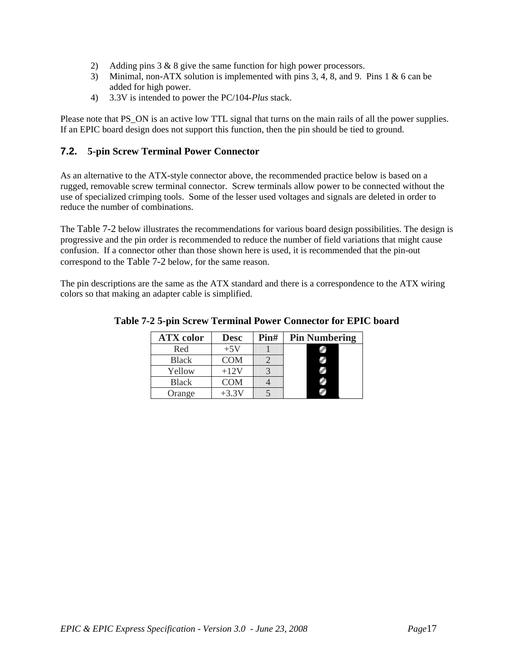- 2) Adding pins 3 & 8 give the same function for high power processors.
- 3) Minimal, non-ATX solution is implemented with pins 3, 4, 8, and 9. Pins 1 & 6 can be added for high power.
- 4) 3.3V is intended to power the PC/104-*Plus* stack.

Please note that PS ON is an active low TTL signal that turns on the main rails of all the power supplies. If an EPIC board design does not support this function, then the pin should be tied to ground.

#### **7.2. 5-pin Screw Terminal Power Connector**

As an alternative to the ATX-style connector above, the recommended practice below is based on a rugged, removable screw terminal connector. Screw terminals allow power to be connected without the use of specialized crimping tools. Some of the lesser used voltages and signals are deleted in order to reduce the number of combinations.

The Table 7-2 below illustrates the recommendations for various board design possibilities. The design is progressive and the pin order is recommended to reduce the number of field variations that might cause confusion. If a connector other than those shown here is used, it is recommended that the pin-out correspond to the Table 7-2 below, for the same reason.

The pin descriptions are the same as the ATX standard and there is a correspondence to the ATX wiring colors so that making an adapter cable is simplified.

| <b>ATX</b> color | <b>Desc</b> | Pin# | <b>Pin Numbering</b> |
|------------------|-------------|------|----------------------|
| Red              | $+5V$       |      |                      |
| <b>Black</b>     | <b>COM</b>  |      |                      |
| Yellow           | $+12V$      |      |                      |
| <b>Black</b>     | <b>COM</b>  |      |                      |
| Orange           | $+3.3V$     |      |                      |

**Table 7-2 5-pin Screw Terminal Power Connector for EPIC board**